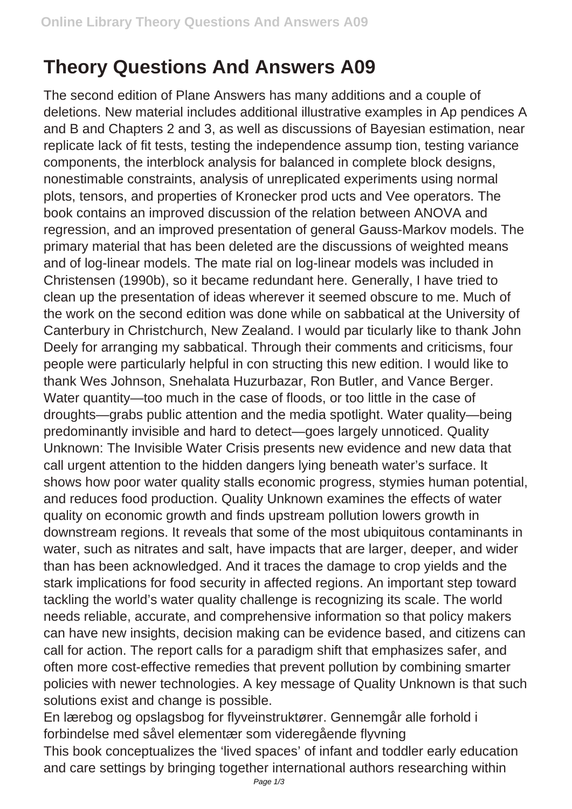## **Theory Questions And Answers A09**

The second edition of Plane Answers has many additions and a couple of deletions. New material includes additional illustrative examples in Ap pendices A and B and Chapters 2 and 3, as well as discussions of Bayesian estimation, near replicate lack of fit tests, testing the independence assump tion, testing variance components, the interblock analysis for balanced in complete block designs, nonestimable constraints, analysis of unreplicated experiments using normal plots, tensors, and properties of Kronecker prod ucts and Vee operators. The book contains an improved discussion of the relation between ANOVA and regression, and an improved presentation of general Gauss-Markov models. The primary material that has been deleted are the discussions of weighted means and of log-linear models. The mate rial on log-linear models was included in Christensen (1990b), so it became redundant here. Generally, I have tried to clean up the presentation of ideas wherever it seemed obscure to me. Much of the work on the second edition was done while on sabbatical at the University of Canterbury in Christchurch, New Zealand. I would par ticularly like to thank John Deely for arranging my sabbatical. Through their comments and criticisms, four people were particularly helpful in con structing this new edition. I would like to thank Wes Johnson, Snehalata Huzurbazar, Ron Butler, and Vance Berger. Water quantity—too much in the case of floods, or too little in the case of droughts—grabs public attention and the media spotlight. Water quality—being predominantly invisible and hard to detect—goes largely unnoticed. Quality Unknown: The Invisible Water Crisis presents new evidence and new data that call urgent attention to the hidden dangers lying beneath water's surface. It shows how poor water quality stalls economic progress, stymies human potential, and reduces food production. Quality Unknown examines the effects of water quality on economic growth and finds upstream pollution lowers growth in downstream regions. It reveals that some of the most ubiquitous contaminants in water, such as nitrates and salt, have impacts that are larger, deeper, and wider than has been acknowledged. And it traces the damage to crop yields and the stark implications for food security in affected regions. An important step toward tackling the world's water quality challenge is recognizing its scale. The world needs reliable, accurate, and comprehensive information so that policy makers can have new insights, decision making can be evidence based, and citizens can call for action. The report calls for a paradigm shift that emphasizes safer, and often more cost-effective remedies that prevent pollution by combining smarter policies with newer technologies. A key message of Quality Unknown is that such solutions exist and change is possible.

En lærebog og opslagsbog for flyveinstruktører. Gennemgår alle forhold i forbindelse med såvel elementær som videregående flyvning

This book conceptualizes the 'lived spaces' of infant and toddler early education and care settings by bringing together international authors researching within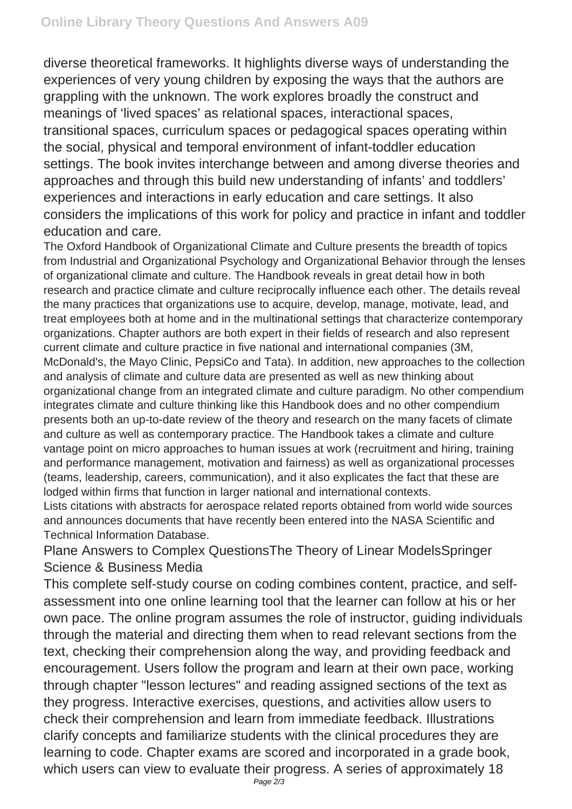diverse theoretical frameworks. It highlights diverse ways of understanding the experiences of very young children by exposing the ways that the authors are grappling with the unknown. The work explores broadly the construct and meanings of 'lived spaces' as relational spaces, interactional spaces, transitional spaces, curriculum spaces or pedagogical spaces operating within the social, physical and temporal environment of infant-toddler education settings. The book invites interchange between and among diverse theories and approaches and through this build new understanding of infants' and toddlers' experiences and interactions in early education and care settings. It also considers the implications of this work for policy and practice in infant and toddler education and care.

The Oxford Handbook of Organizational Climate and Culture presents the breadth of topics from Industrial and Organizational Psychology and Organizational Behavior through the lenses of organizational climate and culture. The Handbook reveals in great detail how in both research and practice climate and culture reciprocally influence each other. The details reveal the many practices that organizations use to acquire, develop, manage, motivate, lead, and treat employees both at home and in the multinational settings that characterize contemporary organizations. Chapter authors are both expert in their fields of research and also represent current climate and culture practice in five national and international companies (3M, McDonald's, the Mayo Clinic, PepsiCo and Tata). In addition, new approaches to the collection and analysis of climate and culture data are presented as well as new thinking about organizational change from an integrated climate and culture paradigm. No other compendium integrates climate and culture thinking like this Handbook does and no other compendium presents both an up-to-date review of the theory and research on the many facets of climate and culture as well as contemporary practice. The Handbook takes a climate and culture vantage point on micro approaches to human issues at work (recruitment and hiring, training and performance management, motivation and fairness) as well as organizational processes (teams, leadership, careers, communication), and it also explicates the fact that these are lodged within firms that function in larger national and international contexts.

Lists citations with abstracts for aerospace related reports obtained from world wide sources and announces documents that have recently been entered into the NASA Scientific and Technical Information Database.

Plane Answers to Complex QuestionsThe Theory of Linear ModelsSpringer Science & Business Media

This complete self-study course on coding combines content, practice, and selfassessment into one online learning tool that the learner can follow at his or her own pace. The online program assumes the role of instructor, guiding individuals through the material and directing them when to read relevant sections from the text, checking their comprehension along the way, and providing feedback and encouragement. Users follow the program and learn at their own pace, working through chapter "lesson lectures" and reading assigned sections of the text as they progress. Interactive exercises, questions, and activities allow users to check their comprehension and learn from immediate feedback. Illustrations clarify concepts and familiarize students with the clinical procedures they are learning to code. Chapter exams are scored and incorporated in a grade book, which users can view to evaluate their progress. A series of approximately 18